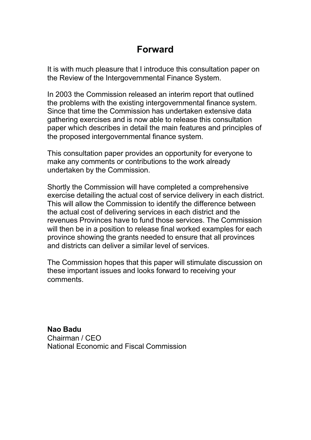### **Forward**

It is with much pleasure that I introduce this consultation paper on the Review of the Intergovernmental Finance System.

In 2003 the Commission released an interim report that outlined the problems with the existing intergovernmental finance system. Since that time the Commission has undertaken extensive data gathering exercises and is now able to release this consultation paper which describes in detail the main features and principles of the proposed intergovernmental finance system.

This consultation paper provides an opportunity for everyone to make any comments or contributions to the work already undertaken by the Commission.

Shortly the Commission will have completed a comprehensive exercise detailing the actual cost of service delivery in each district. This will allow the Commission to identify the difference between the actual cost of delivering services in each district and the revenues Provinces have to fund those services. The Commission will then be in a position to release final worked examples for each province showing the grants needed to ensure that all provinces and districts can deliver a similar level of services.

The Commission hopes that this paper will stimulate discussion on these important issues and looks forward to receiving your comments.

**Nao Badu** Chairman / CEO National Economic and Fiscal Commission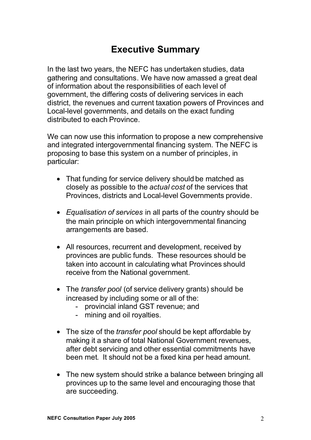# **Executive Summary**

In the last two years, the NEFC has undertaken studies, data gathering and consultations. We have now amassed a great deal of information about the responsibilities of each level of government, the differing costs of delivering services in each district, the revenues and current taxation powers of Provinces and Local-level governments, and details on the exact funding distributed to each Province.

We can now use this information to propose a new comprehensive and integrated intergovernmental financing system. The NEFC is proposing to base this system on a number of principles, in particular:

- That funding for service delivery should be matched as closely as possible to the *actual cost* of the services that Provinces, districts and Local-level Governments provide.
- *Equalisation of services* in all parts of the country should be the main principle on which intergovernmental financing arrangements are based.
- All resources, recurrent and development, received by provinces are public funds. These resources should be taken into account in calculating what Provinces should receive from the National government.
- The *transfer pool* (of service delivery grants) should be increased by including some or all of the:
	- provincial inland GST revenue; and
	- mining and oil royalties.
- The size of the *transfer pool* should be kept affordable by making it a share of total National Government revenues, after debt servicing and other essential commitments have been met. It should not be a fixed kina per head amount.
- The new system should strike a balance between bringing all provinces up to the same level and encouraging those that are succeeding.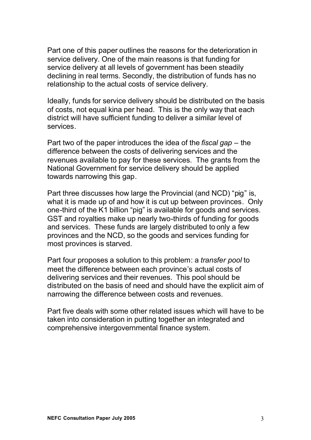Part one of this paper outlines the reasons for the deterioration in service delivery. One of the main reasons is that funding for service delivery at all levels of government has been steadily declining in real terms. Secondly, the distribution of funds has no relationship to the actual costs of service delivery.

Ideally, funds for service delivery should be distributed on the basis of costs, not equal kina per head. This is the only way that each district will have sufficient funding to deliver a similar level of services.

Part two of the paper introduces the idea of the *fiscal gap* – the difference between the costs of delivering services and the revenues available to pay for these services. The grants from the National Government for service delivery should be applied towards narrowing this gap.

Part three discusses how large the Provincial (and NCD) "pig" is, what it is made up of and how it is cut up between provinces. Only one-third of the K1 billion "pig" is available for goods and services. GST and royalties make up nearly two-thirds of funding for goods and services. These funds are largely distributed to only a few provinces and the NCD, so the goods and services funding for most provinces is starved.

Part four proposes a solution to this problem: a *transfer pool* to meet the difference between each province's actual costs of delivering services and their revenues. This pool should be distributed on the basis of need and should have the explicit aim of narrowing the difference between costs and revenues.

Part five deals with some other related issues which will have to be taken into consideration in putting together an integrated and comprehensive intergovernmental finance system.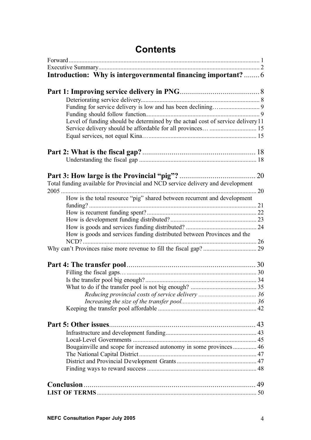| Introduction: Why is intergovernmental financing important?6                    |
|---------------------------------------------------------------------------------|
|                                                                                 |
|                                                                                 |
|                                                                                 |
|                                                                                 |
|                                                                                 |
|                                                                                 |
| Level of funding should be determined by the actual cost of service delivery 11 |
| Service delivery should be affordable for all provinces  15                     |
|                                                                                 |
|                                                                                 |
|                                                                                 |
|                                                                                 |
|                                                                                 |
| Total funding available for Provincial and NCD service delivery and development |
|                                                                                 |
| How is the total resource "pig" shared between recurrent and development        |
|                                                                                 |
|                                                                                 |
|                                                                                 |
|                                                                                 |
| How is goods and services funding distributed between Provinces and the         |
|                                                                                 |
|                                                                                 |
|                                                                                 |
|                                                                                 |
|                                                                                 |
|                                                                                 |
|                                                                                 |
|                                                                                 |
|                                                                                 |
|                                                                                 |
|                                                                                 |
|                                                                                 |
| Bougainville and scope for increased autonomy in some provinces 46              |
|                                                                                 |
|                                                                                 |
|                                                                                 |
|                                                                                 |
|                                                                                 |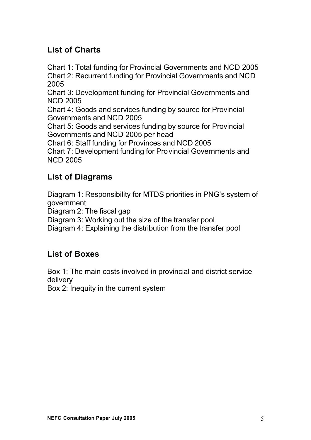### **List of Charts**

Chart 1: Total funding for Provincial Governments and NCD 2005 Chart 2: Recurrent funding for Provincial Governments and NCD 2005

Chart 3: Development funding for Provincial Governments and NCD 2005

Chart 4: Goods and services funding by source for Provincial Governments and NCD 2005

Chart 5: Goods and services funding by source for Provincial Governments and NCD 2005 per head

Chart 6: Staff funding for Provinces and NCD 2005

Chart 7: Development funding for Provincial Governments and NCD 2005

#### **List of Diagrams**

Diagram 1: Responsibility for MTDS priorities in PNG's system of government

Diagram 2: The fiscal gap

Diagram 3: Working out the size of the transfer pool

Diagram 4: Explaining the distribution from the transfer pool

#### **List of Boxes**

Box 1: The main costs involved in provincial and district service delivery

Box 2: Inequity in the current system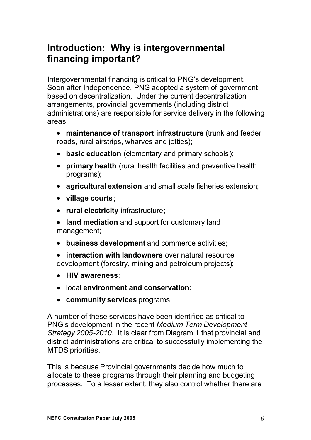# **Introduction: Why is intergovernmental financing important?**

Intergovernmental financing is critical to PNG's development. Soon after Independence, PNG adopted a system of government based on decentralization. Under the current decentralization arrangements, provincial governments (including district administrations) are responsible for service delivery in the following areas:

- **maintenance of transport infrastructure** (trunk and feeder roads, rural airstrips, wharves and jetties);
- **basic education** (elementary and primary schools);
- **primary health** (rural health facilities and preventive health programs);
- **agricultural extension** and small scale fisheries extension;
- **village courts**;
- **rural electricity** infrastructure;
- **land mediation** and support for customary land management;
- **business development** and commerce activities;
- **interaction with landowners** over natural resource development (forestry, mining and petroleum projects);
- **HIV awareness**;
- local **environment and conservation;**
- **community services** programs.

A number of these services have been identified as critical to PNG's development in the recent *Medium Term Development Strategy 2005-2010*. It is clear from Diagram 1 that provincial and district administrations are critical to successfully implementing the MTDS priorities.

This is because Provincial governments decide how much to allocate to these programs through their planning and budgeting processes. To a lesser extent, they also control whether there are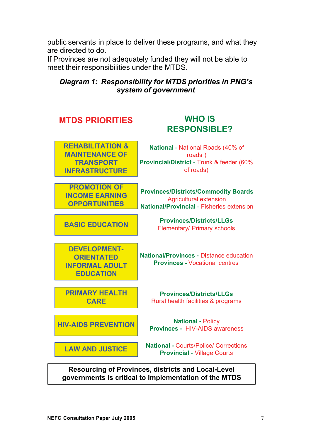public servants in place to deliver these programs, and what they are directed to do.

If Provinces are not adequately funded they will not be able to meet their responsibilities under the MTDS.

#### *Diagram 1: Responsibility for MTDS priorities in PNG's system of government*



**governments is critical to implementation of the MTDS**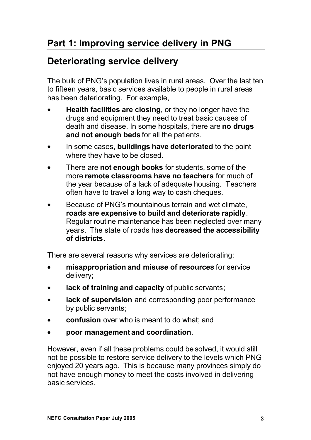# **Deteriorating service delivery**

The bulk of PNG's population lives in rural areas. Over the last ten to fifteen years, basic services available to people in rural areas has been deteriorating. For example,

- **Health facilities are closing**, or they no longer have the drugs and equipment they need to treat basic causes of death and disease. In some hospitals, there are **no drugs and not enough beds** for all the patients.
- In some cases, **buildings have deteriorated** to the point where they have to be closed.
- There are **not enough books** for students, some of the more **remote classrooms have no teachers** for much of the year because of a lack of adequate housing. Teachers often have to travel a long way to cash cheques.
- Because of PNG's mountainous terrain and wet climate. **roads are expensive to build and deteriorate rapidly**. Regular routine maintenance has been neglected over many years. The state of roads has **decreased the accessibility of districts**.

There are several reasons why services are deteriorating:

- **misappropriation and misuse of resources** for service delivery;
- **lack of training and capacity** of public servants;
- **lack of supervision** and corresponding poor performance by public servants;
- **confusion** over who is meant to do what; and
- **poor management and coordination**.

However, even if all these problems could be solved, it would still not be possible to restore service delivery to the levels which PNG enjoyed 20 years ago. This is because many provinces simply do not have enough money to meet the costs involved in delivering basic services.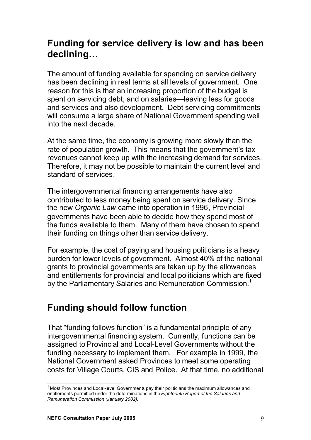# **Funding for service delivery is low and has been declining…**

The amount of funding available for spending on service delivery has been declining in real terms at all levels of government. One reason for this is that an increasing proportion of the budget is spent on servicing debt, and on salaries—leaving less for goods and services and also development. Debt servicing commitments will consume a large share of National Government spending well into the next decade.

At the same time, the economy is growing more slowly than the rate of population growth. This means that the government's tax revenues cannot keep up with the increasing demand for services. Therefore, it may not be possible to maintain the current level and standard of services.

The intergovernmental financing arrangements have also contributed to less money being spent on service delivery. Since the new *Organic Law* came into operation in 1996, Provincial governments have been able to decide how they spend most of the funds available to them. Many of them have chosen to spend their funding on things other than service delivery.

For example, the cost of paying and housing politicians is a heavy burden for lower levels of government. Almost 40% of the national grants to provincial governments are taken up by the allowances and entitlements for provincial and local politicians which are fixed by the Parliamentary Salaries and Remuneration Commission.<sup>1</sup>

### **Funding should follow function**

That "funding follows function" is a fundamental principle of any intergovernmental financing system. Currently, functions can be assigned to Provincial and Local-Level Governments without the funding necessary to implement them. For example in 1999, the National Government asked Provinces to meet some operating costs for Village Courts, CIS and Police. At that time, no additional

<sup>&</sup>lt;sup>1</sup> Most Provinces and Local-level Governments pay their politicians the maximum allowances and entitlements permitted under the determinations in the *Eighteenth Report of the Salaries and Remuneration Commission (January 2002).*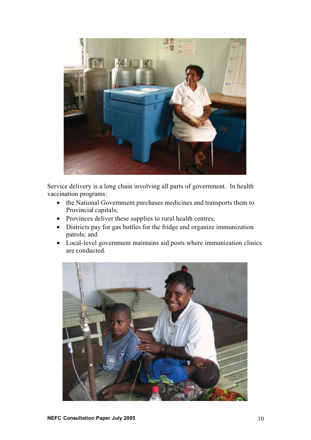

Service delivery is a long chain involving all parts of government. In health vaccination programs:

- the National Government purchases medicines and transports them to Provincial capitals;
- Provinces deliver these supplies to rural health centres;
- Districts pay for gas bottles for the fridge and organize immunization patrols; and
- Local-level government maintains aid posts where immunization clinics are conducted.

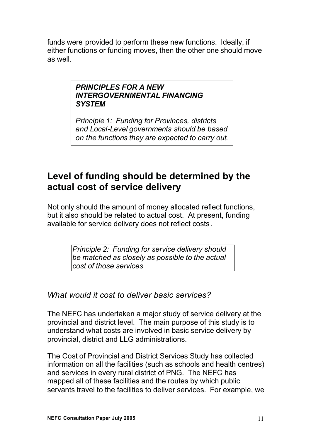funds were provided to perform these new functions. Ideally, if either functions or funding moves, then the other one should move as well.

#### *PRINCIPLES FOR A NEW INTERGOVERNMENTAL FINANCING SYSTEM*

*Principle 1: Funding for Provinces, districts and Local-Level governments should be based on the functions they are expected to carry out.*

# **Level of funding should be determined by the actual cost of service delivery**

Not only should the amount of money allocated reflect functions, but it also should be related to actual cost. At present, funding available for service delivery does not reflect costs.

> *Principle 2: Funding for service delivery should be matched as closely as possible to the actual cost of those services*

*What would it cost to deliver basic services?*

The NEFC has undertaken a major study of service delivery at the provincial and district level. The main purpose of this study is to understand what costs are involved in basic service delivery by provincial, district and LLG administrations.

The Cost of Provincial and District Services Study has collected information on all the facilities (such as schools and health centres) and services in every rural district of PNG. The NEFC has mapped all of these facilities and the routes by which public servants travel to the facilities to deliver services. For example, we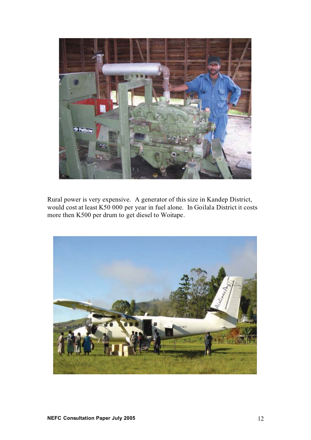

Rural power is very expensive. A generator of this size in Kandep District, would cost at least K50 000 per year in fuel alone. In Goilala District it costs more then K500 per drum to get diesel to Woitape.

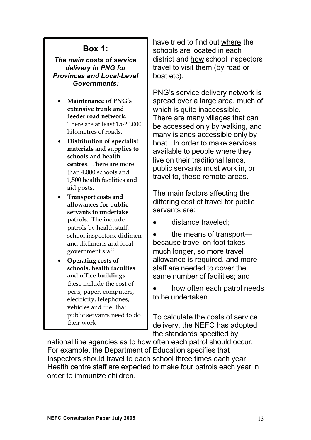#### **Box 1:**

*The main costs of service delivery in PNG for Provinces and Local-Level Governments:*

- **Maintenance of PNG's extensive trunk and feeder road network.** There are at least 15-20,000 kilometres of roads.
- **Distribution of specialist materials and supplies to schools and health centres**. There are more than 4,000 schools and 1,500 health facilities and aid posts.
- **Transport costs and allowances for public servants to undertake patrols**. The include patrols by health staff, school inspectors, didimen and didimeris and local government staff.
- **Operating costs of schools, health faculties and office buildings** – these include the cost of pens, paper, computers, electricity, telephones, vehicles and fuel that public servants need to do their work

have tried to find out where the schools are located in each district and how school inspectors travel to visit them (by road or boat etc).

PNG's service delivery network is spread over a large area, much of which is quite inaccessible. There are many villages that can be accessed only by walking, and many islands accessible only by boat. In order to make services available to people where they live on their traditional lands, public servants must work in, or travel to, these remote areas.

The main factors affecting the differing cost of travel for public servants are:

• distance traveled;

• the means of transport because travel on foot takes much longer, so more travel allowance is required, and more staff are needed to cover the same number of facilities; and

• how often each patrol needs to be undertaken.

To calculate the costs of service delivery, the NEFC has adopted the standards specified by

national line agencies as to how often each patrol should occur. For example, the Department of Education specifies that Inspectors should travel to each school three times each year. Health centre staff are expected to make four patrols each year in order to immunize children.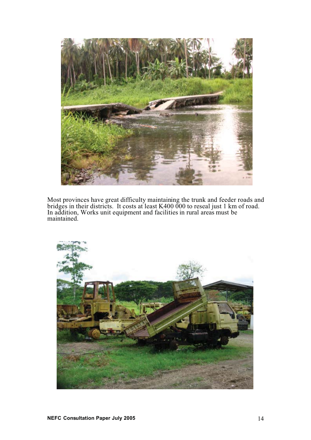

Most provinces have great difficulty maintaining the trunk and feeder roads and bridges in their districts. It costs at least K400 000 to reseal just 1 km of road. In addition, Works unit equipment and facilities in rural areas must be maintained.

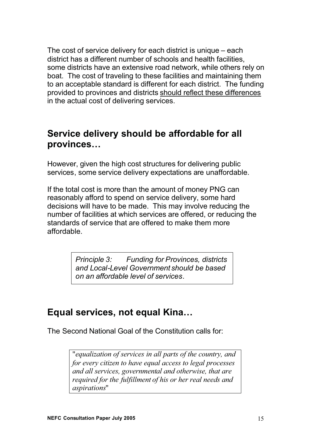The cost of service delivery for each district is unique – each district has a different number of schools and health facilities, some districts have an extensive road network, while others rely on boat. The cost of traveling to these facilities and maintaining them to an acceptable standard is different for each district. The funding provided to provinces and districts should reflect these differences in the actual cost of delivering services.

### **Service delivery should be affordable for all provinces…**

However, given the high cost structures for delivering public services, some service delivery expectations are unaffordable.

If the total cost is more than the amount of money PNG can reasonably afford to spend on service delivery, some hard decisions will have to be made. This may involve reducing the number of facilities at which services are offered, or reducing the standards of service that are offered to make them more affordable.

> *Principle 3: Funding for Provinces, districts and Local-Level Government should be based on an affordable level of services.*

### **Equal services, not equal Kina…**

The Second National Goal of the Constitution calls for:

"*equalization of services in all parts of the country, and for every citizen to have equal access to legal processes and all services, governmental and otherwise, that are required for the fulfillment of his or her real needs and aspirations*"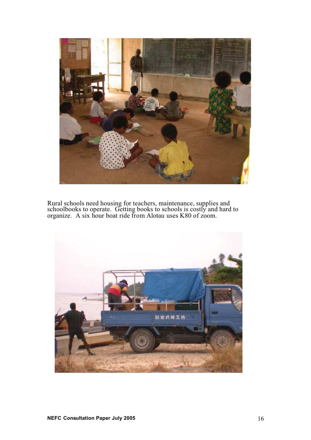

Rural schools need housing for teachers, maintenance, supplies and schoolbooks to operate. Getting books to schools is costly and hard to organize. A six hour boat ride from Alotau uses K80 of zoom.

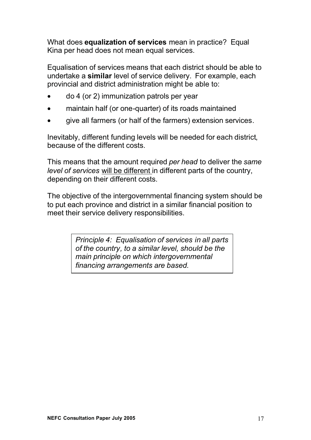What does **equalization of services** mean in practice? Equal Kina per head does not mean equal services.

Equalisation of services means that each district should be able to undertake a **similar** level of service delivery. For example, each provincial and district administration might be able to:

- do 4 (or 2) immunization patrols per year
- maintain half (or one-quarter) of its roads maintained
- give all farmers (or half of the farmers) extension services.

Inevitably, different funding levels will be needed for each district, because of the different costs.

This means that the amount required *per head* to deliver the *same level of services* will be different in different parts of the country, depending on their different costs.

The objective of the intergovernmental financing system should be to put each province and district in a similar financial position to meet their service delivery responsibilities.

> *Principle 4: Equalisation of services in all parts of the country, to a similar level, should be the main principle on which intergovernmental financing arrangements are based.*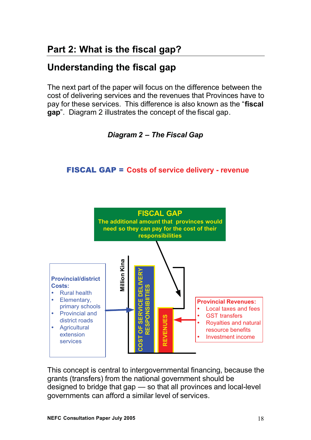# **Understanding the fiscal gap**

The next part of the paper will focus on the difference between the cost of delivering services and the revenues that Provinces have to pay for these services. This difference is also known as the "**fiscal gap**". Diagram 2 illustrates the concept of the fiscal gap.



#### FISCAL GAP = **Costs of service delivery - revenue**



This concept is central to intergovernmental financing, because the grants (transfers) from the national government should be designed to bridge that gap — so that all provinces and local-level governments can afford a similar level of services.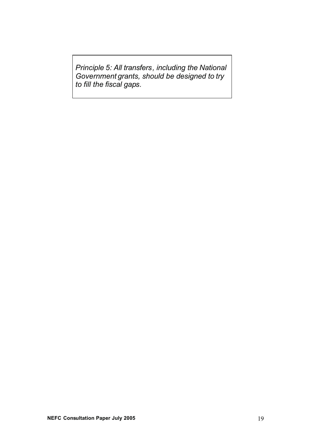*Principle 5: All transfers, including the National Government grants, should be designed to try to fill the fiscal gaps.*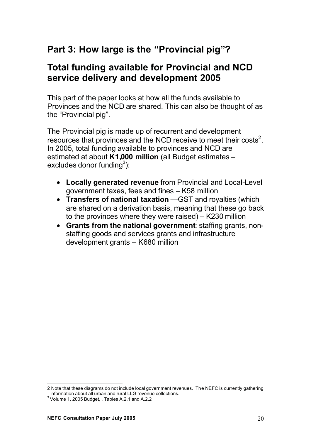# **Part 3: How large is the "Provincial pig"?**

### **Total funding available for Provincial and NCD service delivery and development 2005**

This part of the paper looks at how all the funds available to Provinces and the NCD are shared. This can also be thought of as the "Provincial pig".

The Provincial pig is made up of recurrent and development resources that provinces and the NCD receive to meet their costs<sup>2</sup>. In 2005, total funding available to provinces and NCD are estimated at about **K1,000 million** (all Budget estimates – excludes donor funding $^3$ ):

- **Locally generated revenue** from Provincial and Local-Level government taxes, fees and fines – K58 million
- **Transfers of national taxation** —GST and royalties (which are shared on a derivation basis, meaning that these go back to the provinces where they were raised) – K230 million
- **Grants from the national government**: staffing grants, nonstaffing goods and services grants and infrastructure development grants – K680 million

<sup>2</sup> Note that these diagrams do not include local government revenues. The NEFC is currently gathering information about all urban and rural LLG revenue collections. <sup>3</sup>

 $3$  Volume 1, 2005 Budget, , Tables A.2.1 and A.2.2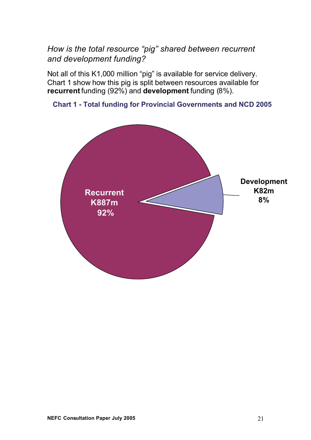*How is the total resource "pig" shared between recurrent and development funding?*

Not all of this K1,000 million "pig" is available for service delivery. Chart 1 show how this pig is split between resources available for **recurrent**funding (92%) and **development** funding (8%).



#### **Chart 1 - Total funding for Provincial Governments and NCD 2005**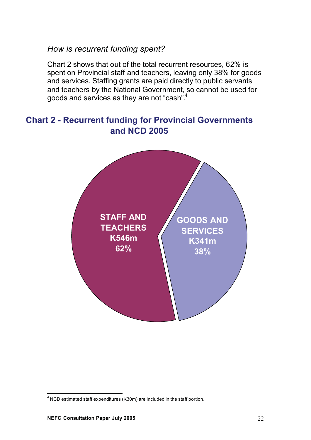#### *How is recurrent funding spent?*

Chart 2 shows that out of the total recurrent resources, 62% is spent on Provincial staff and teachers, leaving only 38% for goods and services. Staffing grants are paid directly to public servants and teachers by the National Government, so cannot be used for goods and services as they are not "cash".4

#### **Chart 2 - Recurrent funding for Provincial Governments and NCD 2005**



 $<sup>4</sup>$  NCD estimated staff expenditures (K30m) are included in the staff portion.</sup>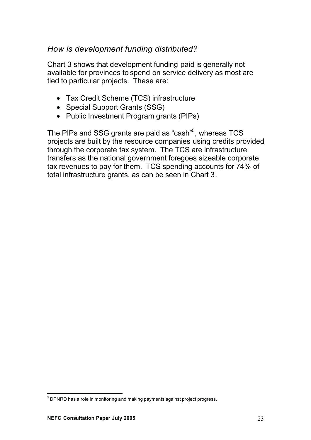#### *How is development funding distributed?*

Chart 3 shows that development funding paid is generally not available for provinces to spend on service delivery as most are tied to particular projects. These are:

- Tax Credit Scheme (TCS) infrastructure
- Special Support Grants (SSG)
- Public Investment Program grants (PIPs)

The PIPs and SSG grants are paid as "cash"<sup>5</sup>, whereas TCS projects are built by the resource companies using credits provided through the corporate tax system. The TCS are infrastructure transfers as the national government foregoes sizeable corporate tax revenues to pay for them. TCS spending accounts for 74% of total infrastructure grants, as can be seen in Chart 3.

 $^5$  DPNRD has a role in monitoring and making payments against project progress.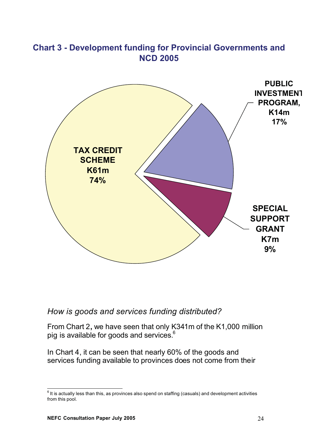

# **Chart 3 - Development funding for Provincial Governments and**

#### *How is goods and services funding distributed?*

From Chart 2**,** we have seen that only K341m of the K1,000 million pig is available for goods and services.<sup>6</sup>

In Chart 4, it can be seen that nearly 60% of the goods and services funding available to provinces does not come from their

 $^6$  It is actually less than this, as provinces also spend on staffing (casuals) and development activities from this pool.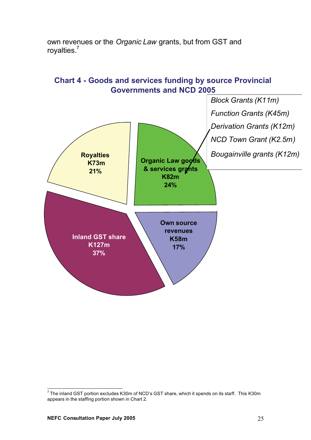

own revenues or the *Organic Law* grants, but from GST and royalties.<sup>7</sup>

 $^7$  The inland GST portion excludes K30m of NCD's GST share, which it spends on its staff. This K30m appears in the staffing portion shown in Chart 2.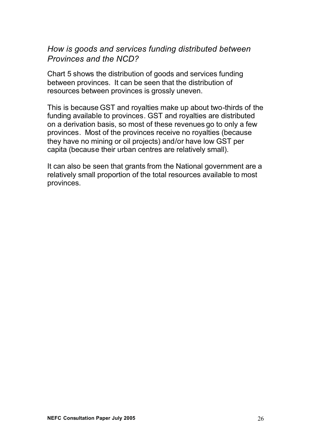#### *How is goods and services funding distributed between Provinces and the NCD?*

Chart 5 shows the distribution of goods and services funding between provinces. It can be seen that the distribution of resources between provinces is grossly uneven.

This is because GST and royalties make up about two-thirds of the funding available to provinces. GST and royalties are distributed on a derivation basis, so most of these revenues go to only a few provinces. Most of the provinces receive no royalties (because they have no mining or oil projects) and/or have low GST per capita (because their urban centres are relatively small).

It can also be seen that grants from the National government are a relatively small proportion of the total resources available to most provinces.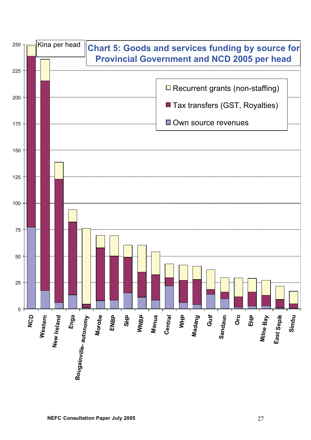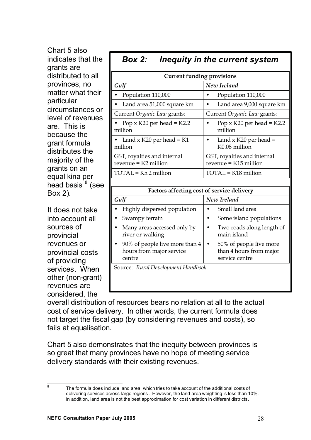| Chart 5 also                                                                                                                                                                                     |                                                                      |                                                                                   |
|--------------------------------------------------------------------------------------------------------------------------------------------------------------------------------------------------|----------------------------------------------------------------------|-----------------------------------------------------------------------------------|
| indicates that the<br>grants are                                                                                                                                                                 | <b>Box 2:</b>                                                        | Inequity in the current system                                                    |
| distributed to all                                                                                                                                                                               | <b>Current funding provisions</b>                                    |                                                                                   |
| provinces, no                                                                                                                                                                                    | Gulf                                                                 | New Ireland                                                                       |
| matter what their<br>particular<br>circumstances or<br>level of revenues<br>are. This is<br>because the<br>grant formula<br>distributes the<br>majority of the<br>grants on an<br>equal kina per | Population 110,000                                                   | Population 110,000<br>$\bullet$                                                   |
|                                                                                                                                                                                                  | Land area 51,000 square km                                           | Land area 9,000 square km<br>$\bullet$                                            |
|                                                                                                                                                                                                  | Current Organic Law grants:                                          | Current Organic Law grants:                                                       |
|                                                                                                                                                                                                  | Pop $\times$ K20 per head = K2.2<br>million                          | Pop $\times$ K20 per head = K2.2<br>٠<br>million                                  |
|                                                                                                                                                                                                  | Land $x$ K20 per head = K1<br>million                                | Land $x$ K20 per head =<br>$\bullet$<br>K0.08 million                             |
|                                                                                                                                                                                                  | GST, royalties and internal<br>$revenue = K2$ million                | GST, royalties and internal<br>$revenue = K15$ million                            |
|                                                                                                                                                                                                  | $TOTAL = K5.2$ million                                               | TOTAL = K18 million                                                               |
| head basis <sup>8</sup> (see                                                                                                                                                                     |                                                                      |                                                                                   |
| Box 2).                                                                                                                                                                                          | Factors affecting cost of service delivery                           |                                                                                   |
|                                                                                                                                                                                                  | Gulf                                                                 | New Ireland                                                                       |
| It does not take                                                                                                                                                                                 | Highly dispersed population                                          | Small land area<br>$\bullet$                                                      |
| into account all                                                                                                                                                                                 | Swampy terrain                                                       | Some island populations<br>$\bullet$                                              |
| sources of<br>provincial                                                                                                                                                                         | Many areas accessed only by<br>river or walking                      | Two roads along length of<br>$\bullet$<br>main island                             |
| revenues or<br>provincial costs<br>of providing                                                                                                                                                  | 90% of people live more than 4<br>hours from major service<br>centre | 50% of people live more<br>$\bullet$<br>than 4 hours from major<br>service centre |
| services. When                                                                                                                                                                                   | Source: Rural Development Handbook                                   |                                                                                   |

overall distribution of resources bears no relation at all to the actual cost of service delivery. In other words, the current formula does not target the fiscal gap (by considering revenues and costs), so fails at equalisation.

Chart 5 also demonstrates that the inequity between provinces is so great that many provinces have no hope of meeting service delivery standards with their existing revenues.

other (non-grant) revenues are considered, the

<sup>&</sup>lt;sup>8</sup> The formula does include land area, which tries to take account of the additional costs of delivering services across large regions . However, the land area weighting is less than 10%. In addition, land area is not the best approximation for cost variation in different districts.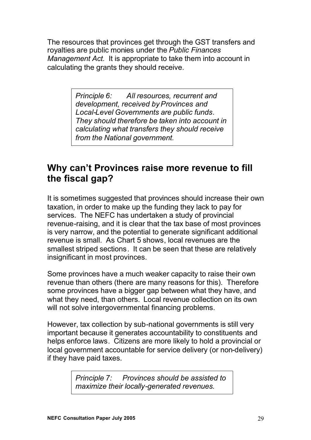The resources that provinces get through the GST transfers and royalties are public monies under the *Public Finances Management Act.* It is appropriate to take them into account in calculating the grants they should receive.

> *Principle 6: All resources, recurrent and development, received by Provinces and Local-Level Governments are public funds. They should therefore be taken into account in calculating what transfers they should receive from the National government.*

### **Why can't Provinces raise more revenue to fill the fiscal gap?**

It is sometimes suggested that provinces should increase their own taxation, in order to make up the funding they lack to pay for services. The NEFC has undertaken a study of provincial revenue-raising, and it is clear that the tax base of most provinces is very narrow, and the potential to generate significant additional revenue is small. As Chart 5 shows, local revenues are the smallest striped sections. It can be seen that these are relatively insignificant in most provinces.

Some provinces have a much weaker capacity to raise their own revenue than others (there are many reasons for this). Therefore some provinces have a bigger gap between what they have, and what they need, than others. Local revenue collection on its own will not solve intergovernmental financing problems.

However, tax collection by sub-national governments is still very important because it generates accountability to constituents and helps enforce laws. Citizens are more likely to hold a provincial or local government accountable for service delivery (or non-delivery) if they have paid taxes.

> *Principle 7: Provinces should be assisted to maximize their locally-generated revenues.*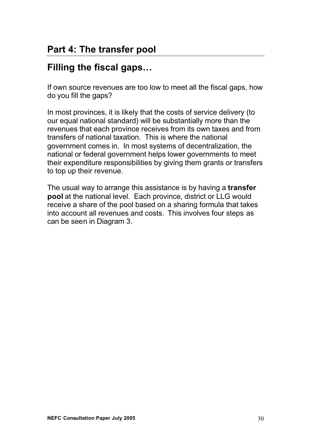# **Filling the fiscal gaps…**

If own source revenues are too low to meet all the fiscal gaps, how do you fill the gaps?

In most provinces, it is likely that the costs of service delivery (to our equal national standard) will be substantially more than the revenues that each province receives from its own taxes and from transfers of national taxation. This is where the national government comes in. In most systems of decentralization, the national or federal government helps lower governments to meet their expenditure responsibilities by giving them grants or transfers to top up their revenue.

The usual way to arrange this assistance is by having a **transfer pool** at the national level. Each province, district or LLG would receive a share of the pool based on a sharing formula that takes into account all revenues and costs. This involves four steps as can be seen in Diagram 3.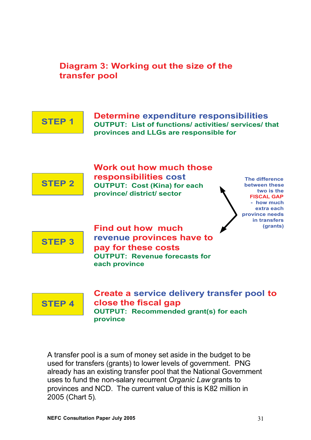

A transfer pool is a sum of money set aside in the budget to be used for transfers (grants) to lower levels of government. PNG already has an existing transfer pool that the National Government uses to fund the non*-*salary recurrent *Organic Law* grants to provinces and NCD. The current value of this is K82 million in 2005 (Chart 5).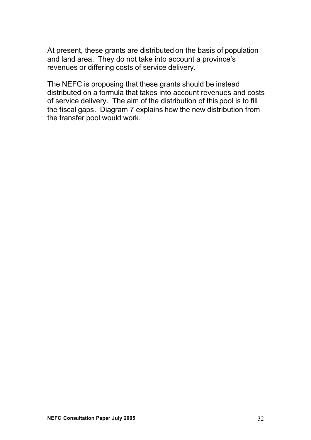At present, these grants are distributed on the basis of population and land area. They do not take into account a province's revenues or differing costs of service delivery.

The NEFC is proposing that these grants should be instead distributed on a formula that takes into account revenues and costs of service delivery. The aim of the distribution of this pool is to fill the fiscal gaps. Diagram 7 explains how the new distribution from the transfer pool would work.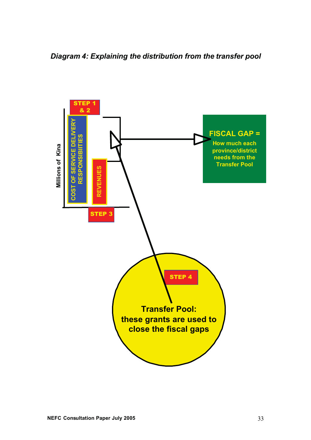*Diagram 4: Explaining the distribution from the transfer pool* 

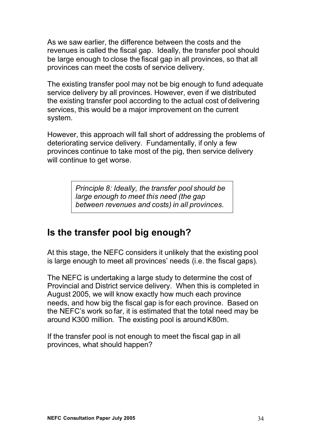As we saw earlier, the difference between the costs and the revenues is called the fiscal gap. Ideally, the transfer pool should be large enough to close the fiscal gap in all provinces, so that all provinces can meet the costs of service delivery.

The existing transfer pool may not be big enough to fund adequate service delivery by all provinces. However, even if we distributed the existing transfer pool according to the actual cost of delivering services, this would be a major improvement on the current system.

However, this approach will fall short of addressing the problems of deteriorating service delivery. Fundamentally, if only a few provinces continue to take most of the pig, then service delivery will continue to get worse.

> *Principle 8: Ideally, the transfer pool should be large enough to meet this need (the gap between revenues and costs) in all provinces.*

### **Is the transfer pool big enough?**

At this stage, the NEFC considers it unlikely that the existing pool is large enough to meet all provinces' needs (i.e. the fiscal gaps).

The NEFC is undertaking a large study to determine the cost of Provincial and District service delivery. When this is completed in August 2005, we will know exactly how much each province needs, and how big the fiscal gap is for each province. Based on the NEFC's work so far, it is estimated that the total need may be around K300 million. The existing pool is around K80m.

If the transfer pool is not enough to meet the fiscal gap in all provinces, what should happen?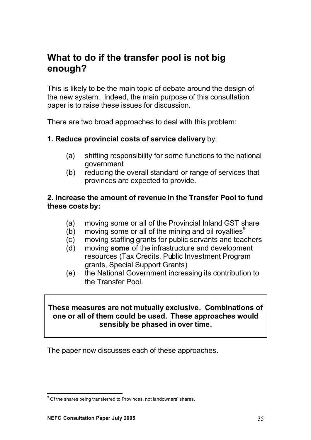## **What to do if the transfer pool is not big enough?**

This is likely to be the main topic of debate around the design of the new system. Indeed, the main purpose of this consultation paper is to raise these issues for discussion.

There are two broad approaches to deal with this problem:

#### **1. Reduce provincial costs of service delivery** by:

- (a) shifting responsibility for some functions to the national government
- (b) reducing the overall standard or range of services that provinces are expected to provide.

#### **2. Increase the amount of revenue in the Transfer Pool to fund these costs by:**

- (a) moving some or all of the Provincial Inland GST share
- (b) moving some or all of the mining and oil royalties<sup>9</sup>
- (c) moving staffing grants for public servants and teachers
- (d) moving **some** of the infrastructure and development resources (Tax Credits, Public Investment Program grants, Special Support Grants)
- (e) the National Government increasing its contribution to the Transfer Pool.

#### **These measures are not mutually exclusive. Combinations of one or all of them could be used. These approaches would sensibly be phased in over time.**

The paper now discusses each of these approaches.

 $^{9}$  Of the shares being transferred to Provinces, not landowners' shares.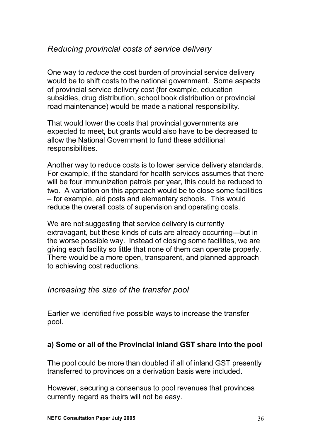#### *Reducing provincial costs of service delivery*

One way to *reduce* the cost burden of provincial service delivery would be to shift costs to the national government. Some aspects of provincial service delivery cost (for example, education subsidies, drug distribution, school book distribution or provincial road maintenance) would be made a national responsibility.

That would lower the costs that provincial governments are expected to meet, but grants would also have to be decreased to allow the National Government to fund these additional responsibilities.

Another way to reduce costs is to lower service delivery standards. For example, if the standard for health services assumes that there will be four immunization patrols per year, this could be reduced to two. A variation on this approach would be to close some facilities – for example, aid posts and elementary schools. This would reduce the overall costs of supervision and operating costs.

We are not suggesting that service delivery is currently extravagant, but these kinds of cuts are already occurring—but in the worse possible way. Instead of closing some facilities, we are giving each facility so little that none of them can operate properly. There would be a more open, transparent, and planned approach to achieving cost reductions.

#### *Increasing the size of the transfer pool*

Earlier we identified five possible ways to increase the transfer pool.

#### **a) Some or all of the Provincial inland GST share into the pool**

The pool could be more than doubled if all of inland GST presently transferred to provinces on a derivation basis were included.

However, securing a consensus to pool revenues that provinces currently regard as theirs will not be easy.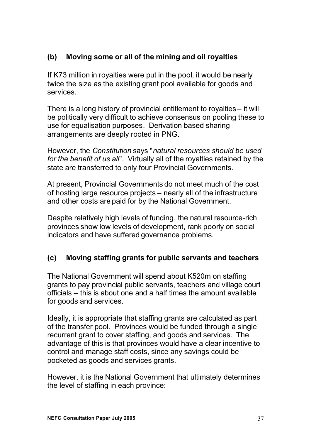#### **(b) Moving some or all of the mining and oil royalties**

If K73 million in royalties were put in the pool, it would be nearly twice the size as the existing grant pool available for goods and services.

There is a long history of provincial entitlement to royalties – it will be politically very difficult to achieve consensus on pooling these to use for equalisation purposes. Derivation based sharing arrangements are deeply rooted in PNG.

However, the *Constitution* says "*natural resources should be used for the benefit of us all*". Virtually all of the royalties retained by the state are transferred to only four Provincial Governments.

At present, Provincial Governments do not meet much of the cost of hosting large resource projects – nearly all of the infrastructure and other costs are paid for by the National Government.

Despite relatively high levels of funding, the natural resource-rich provinces show low levels of development, rank poorly on social indicators and have suffered governance problems.

#### **(c) Moving staffing grants for public servants and teachers**

The National Government will spend about K520m on staffing grants to pay provincial public servants, teachers and village court officials – this is about one and a half times the amount available for goods and services.

Ideally, it is appropriate that staffing grants are calculated as part of the transfer pool. Provinces would be funded through a single recurrent grant to cover staffing, and goods and services. The advantage of this is that provinces would have a clear incentive to control and manage staff costs, since any savings could be pocketed as goods and services grants.

However, it is the National Government that ultimately determines the level of staffing in each province: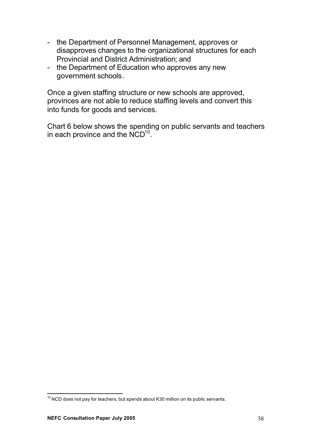- the Department of Personnel Management, approves or disapproves changes to the organizational structures for each Provincial and District Administration; and
- the Department of Education who approves any new government schools.

Once a given staffing structure or new schools are approved, provinces are not able to reduce staffing levels and convert this into funds for goods and services.

Chart 6 below shows the spending on public servants and teachers in each province and the  $\mathsf{NCD}^\mathsf{10}.$ 

 $10$  NCD does not pay for teachers, but spends about K30 million on its public servants.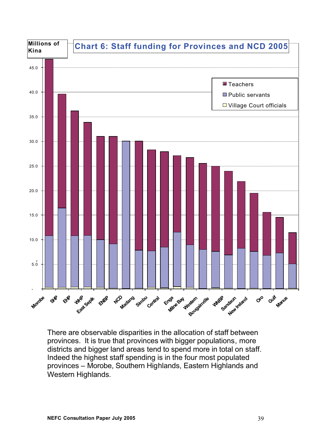

There are observable disparities in the allocation of staff between provinces. It is true that provinces with bigger populations, more districts and bigger land areas tend to spend more in total on staff. Indeed the highest staff spending is in the four most populated provinces – Morobe, Southern Highlands, Eastern Highlands and Western Highlands.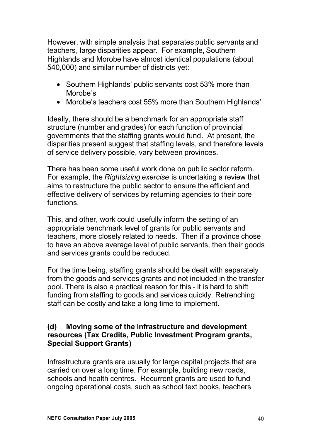However, with simple analysis that separates public servants and teachers, large disparities appear. For example, Southern Highlands and Morobe have almost identical populations (about 540,000) and similar number of districts yet:

- Southern Highlands' public servants cost 53% more than Morobe's
- Morobe's teachers cost 55% more than Southern Highlands'

Ideally, there should be a benchmark for an appropriate staff structure (number and grades) for each function of provincial governments that the staffing grants would fund. At present, the disparities present suggest that staffing levels, and therefore levels of service delivery possible, vary between provinces.

There has been some useful work done on public sector reform. For example, the *Rightsizing exercise* is undertaking a review that aims to restructure the public sector to ensure the efficient and effective delivery of services by returning agencies to their core functions.

This, and other, work could usefully inform the setting of an appropriate benchmark level of grants for public servants and teachers, more closely related to needs. Then if a province chose to have an above average level of public servants, then their goods and services grants could be reduced.

For the time being, staffing grants should be dealt with separately from the goods and services grants and not included in the transfer pool. There is also a practical reason for this - it is hard to shift funding from staffing to goods and services quickly. Retrenching staff can be costly and take a long time to implement.

#### **(d) Moving some of the infrastructure and development resources (Tax Credits, Public Investment Program grants, Special Support Grants)**

Infrastructure grants are usually for large capital projects that are carried on over a long time. For example, building new roads, schools and health centres. Recurrent grants are used to fund ongoing operational costs, such as school text books, teachers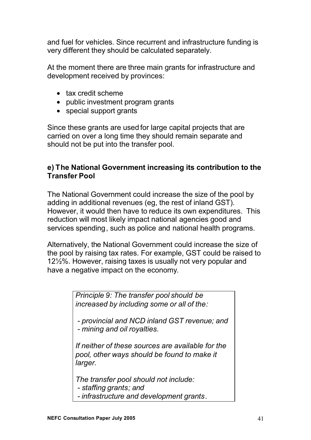and fuel for vehicles. Since recurrent and infrastructure funding is very different they should be calculated separately.

At the moment there are three main grants for infrastructure and development received by provinces:

- tax credit scheme
- public investment program grants
- special support grants

Since these grants are used for large capital projects that are carried on over a long time they should remain separate and should not be put into the transfer pool.

#### **e) The National Government increasing its contribution to the Transfer Pool**

The National Government could increase the size of the pool by adding in additional revenues (eg, the rest of inland GST). However, it would then have to reduce its own expenditures. This reduction will most likely impact national agencies good and services spending, such as police and national health programs.

Alternatively, the National Government could increase the size of the pool by raising tax rates. For example, GST could be raised to 12½%. However, raising taxes is usually not very popular and have a negative impact on the economy.

> *Principle 9: The transfer pool should be increased by including some or all of the:*

*- provincial and NCD inland GST revenue; and - mining and oil royalties.*

*If neither of these sources are available for the pool, other ways should be found to make it larger.*

*The transfer pool should not include:*

*- staffing grants; and*

*- infrastructure and development grants.*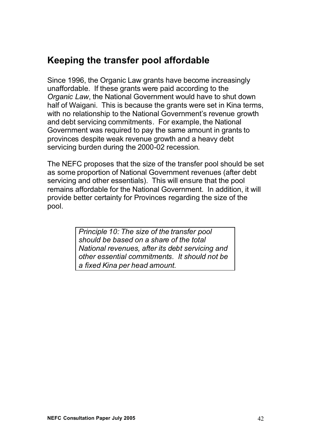# **Keeping the transfer pool affordable**

Since 1996, the Organic Law grants have become increasingly unaffordable. If these grants were paid according to the *Organic Law*, the National Government would have to shut down half of Waigani. This is because the grants were set in Kina terms, with no relationship to the National Government's revenue growth and debt servicing commitments. For example, the National Government was required to pay the same amount in grants to provinces despite weak revenue growth and a heavy debt servicing burden during the 2000-02 recession.

The NEFC proposes that the size of the transfer pool should be set as some proportion of National Government revenues (after debt servicing and other essentials). This will ensure that the pool remains affordable for the National Government. In addition, it will provide better certainty for Provinces regarding the size of the pool.

> *Principle 10: The size of the transfer pool should be based on a share of the total National revenues, after its debt servicing and other essential commitments. It should not be a fixed Kina per head amount.*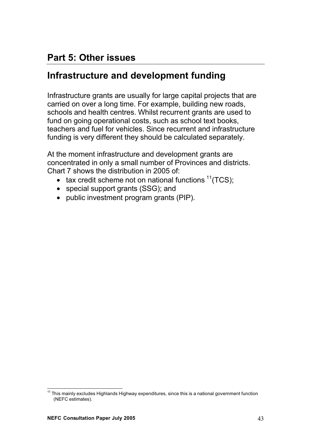# **Part 5: Other issues**

### **Infrastructure and development funding**

Infrastructure grants are usually for large capital projects that are carried on over a long time. For example, building new roads, schools and health centres. Whilst recurrent grants are used to fund on going operational costs, such as school text books, teachers and fuel for vehicles. Since recurrent and infrastructure funding is very different they should be calculated separately.

At the moment infrastructure and development grants are concentrated in only a small number of Provinces and districts. Chart 7 shows the distribution in 2005 of:

- tax credit scheme not on national functions  $11(TCS)$ :
- special support grants (SSG); and
- public investment program grants (PIP).

<sup>&</sup>lt;sup>11</sup> This mainly excludes Highlands Highway expenditures, since this is a national government function (NEFC estimates).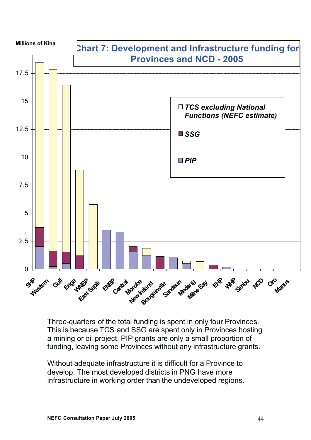

Three-quarters of the total funding is spent in only four Provinces. This is because TCS and SSG are spent only in Provinces hosting a mining or oil project. PIP grants are only a small proportion of funding, leaving some Provinces without any infrastructure grants.

Without adequate infrastructure it is difficult for a Province to develop. The most developed districts in PNG have more infrastructure in working order than the undeveloped regions.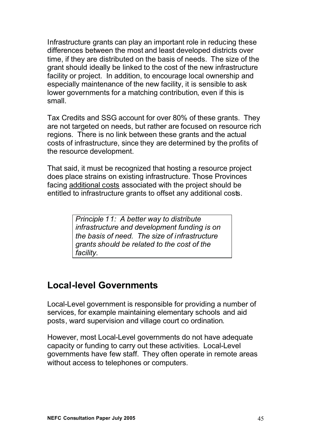Infrastructure grants can play an important role in reducing these differences between the most and least developed districts over time, if they are distributed on the basis of needs. The size of the grant should ideally be linked to the cost of the new infrastructure facility or project. In addition, to encourage local ownership and especially maintenance of the new facility, it is sensible to ask lower governments for a matching contribution, even if this is small.

Tax Credits and SSG account for over 80% of these grants. They are not targeted on needs, but rather are focused on resource rich regions. There is no link between these grants and the actual costs of infrastructure, since they are determined by the profits of the resource development.

That said, it must be recognized that hosting a resource project does place strains on existing infrastructure. Those Provinces facing additional costs associated with the project should be entitled to infrastructure grants to offset any additional costs.

> *Principle 11: A better way to distribute infrastructure and development funding is on the basis of need. The size of infrastructure grants should be related to the cost of the facility.*

#### **Local-level Governments**

Local-Level government is responsible for providing a number of services, for example maintaining elementary schools and aid posts, ward supervision and village court co ordination.

However, most Local-Level governments do not have adequate capacity or funding to carry out these activities. Local-Level governments have few staff. They often operate in remote areas without access to telephones or computers.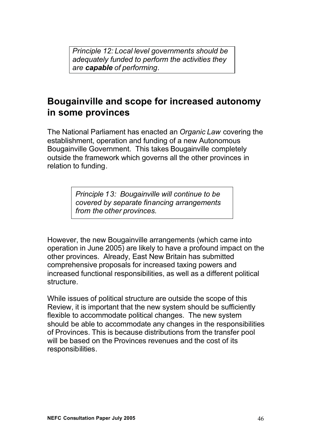*Principle 12: Local level governments should be adequately funded to perform the activities they are capable of performing.*

# **Bougainville and scope for increased autonomy in some provinces**

The National Parliament has enacted an *Organic Law* covering the establishment, operation and funding of a new Autonomous Bougainville Government. This takes Bougainville completely outside the framework which governs all the other provinces in relation to funding.

> *Principle 13: Bougainville will continue to be covered by separate financing arrangements from the other provinces.*

However, the new Bougainville arrangements (which came into operation in June 2005) are likely to have a profound impact on the other provinces. Already, East New Britain has submitted comprehensive proposals for increased taxing powers and increased functional responsibilities, as well as a different political structure.

While issues of political structure are outside the scope of this Review, it is important that the new system should be sufficiently flexible to accommodate political changes. The new system should be able to accommodate any changes in the responsibilities of Provinces. This is because distributions from the transfer pool will be based on the Provinces revenues and the cost of its responsibilities.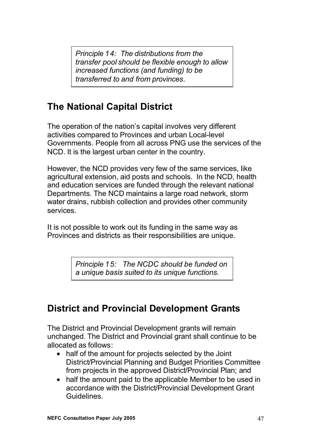*Principle 14: The distributions from the transfer pool should be flexible enough to allow increased functions (and funding) to be transferred to and from provinces.*

# **The National Capital District**

The operation of the nation's capital involves very different activities compared to Provinces and urban Local-level Governments. People from all across PNG use the services of the NCD. It is the largest urban center in the country.

However, the NCD provides very few of the same services, like agricultural extension, aid posts and schools. In the NCD, health and education services are funded through the relevant national Departments. The NCD maintains a large road network, storm water drains, rubbish collection and provides other community services.

It is not possible to work out its funding in the same way as Provinces and districts as their responsibilities are unique.

> *Principle 15: The NCDC should be funded on a unique basis suited to its unique functions.*

# **District and Provincial Development Grants**

The District and Provincial Development grants will remain unchanged. The District and Provincial grant shall continue to be allocated as follows:

- half of the amount for projects selected by the Joint District/Provincial Planning and Budget Priorities Committee from projects in the approved District/Provincial Plan; and
- half the amount paid to the applicable Member to be used in accordance with the District/Provincial Development Grant Guidelines.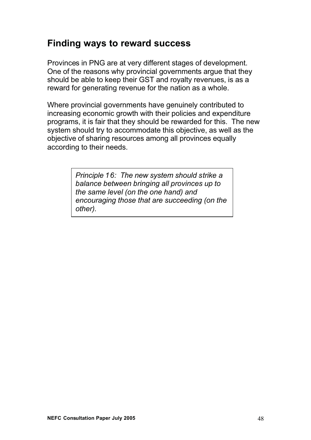# **Finding ways to reward success**

Provinces in PNG are at very different stages of development. One of the reasons why provincial governments argue that they should be able to keep their GST and royalty revenues, is as a reward for generating revenue for the nation as a whole.

Where provincial governments have genuinely contributed to increasing economic growth with their policies and expenditure programs, it is fair that they should be rewarded for this. The new system should try to accommodate this objective, as well as the objective of sharing resources among all provinces equally according to their needs.

> *Principle 16: The new system should strike a balance between bringing all provinces up to the same level (on the one hand) and encouraging those that are succeeding (on the other).*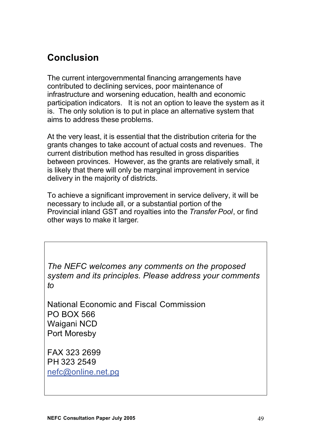# **Conclusion**

The current intergovernmental financing arrangements have contributed to declining services, poor maintenance of infrastructure and worsening education, health and economic participation indicators. It is not an option to leave the system as it is. The only solution is to put in place an alternative system that aims to address these problems.

At the very least, it is essential that the distribution criteria for the grants changes to take account of actual costs and revenues. The current distribution method has resulted in gross disparities between provinces. However, as the grants are relatively small, it is likely that there will only be marginal improvement in service delivery in the majority of districts.

To achieve a significant improvement in service delivery, it will be necessary to include all, or a substantial portion of the Provincial inland GST and royalties into the *Transfer Pool*, or find other ways to make it larger*.*

*The NEFC welcomes any comments on the proposed system and its principles. Please address your comments to*

National Economic and Fiscal Commission PO BOX 566 Waigani NCD Port Moresby

FAX 323 2699 PH 323 2549 nefc@online.net.pg